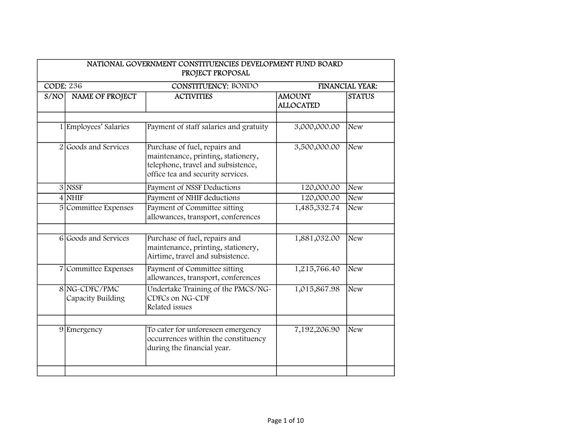| <b>CODE: 236</b> |                                    | <b>CONSTITUENCY: BONDO</b>                                                                                                                     |                                   | <b>FINANCIAL YEAR:</b> |
|------------------|------------------------------------|------------------------------------------------------------------------------------------------------------------------------------------------|-----------------------------------|------------------------|
| S/NO             | <b>NAME OF PROJECT</b>             | <b>ACTIVITIES</b>                                                                                                                              | <b>AMOUNT</b><br><b>ALLOCATED</b> | <b>STATUS</b>          |
|                  | 1 Employees' Salaries              | Payment of staff salaries and gratuity                                                                                                         | 3,000,000.00                      | <b>New</b>             |
|                  | 2 Goods and Services               | Purchase of fuel, repairs and<br>maintenance, printing, stationery,<br>telephone, travel and subsistence,<br>office tea and security services. | 3,500,000.00                      | <b>New</b>             |
|                  | 3 NSSF                             | Payment of NSSF Deductions                                                                                                                     | 120,000.00                        | <b>New</b>             |
|                  | $4$ NHIF                           | Payment of NHIF deductions                                                                                                                     | 120,000.00                        | <b>New</b>             |
|                  | 5 Committee Expenses               | Payment of Committee sitting<br>allowances, transport, conferences                                                                             | 1,485,332.74                      | <b>New</b>             |
|                  | 6 Goods and Services               | Purchase of fuel, repairs and<br>maintenance, printing, stationery,<br>Airtime, travel and subsistence.                                        | 1,881,032.00                      | <b>New</b>             |
|                  | 7 Committee Expenses               | Payment of Committee sitting<br>allowances, transport, conferences                                                                             | 1,215,766.40                      | <b>New</b>             |
|                  | 8 NG-CDFC/PMC<br>Capacity Building | Undertake Training of the PMCS/NG-<br>CDFCs on NG-CDF<br>Related issues                                                                        | 1,015,867.98                      | <b>New</b>             |
|                  | 9 Emergency                        | To cater for unforeseen emergency<br>occurrences within the constituency<br>during the financial year.                                         | 7,192,206.90                      | <b>New</b>             |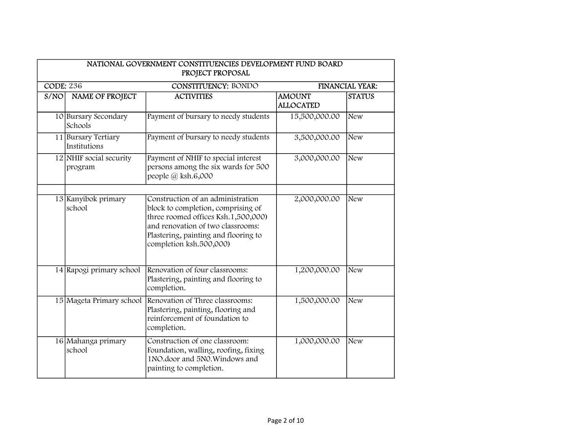|                  | NATIONAL GOVERNMENT CONSTITUENCIES DEVELOPMENT FUND BOARD<br>PROJECT PROPOSAL |                                                                                                                                                                                                                        |                                   |                        |  |  |
|------------------|-------------------------------------------------------------------------------|------------------------------------------------------------------------------------------------------------------------------------------------------------------------------------------------------------------------|-----------------------------------|------------------------|--|--|
| <b>CODE: 236</b> |                                                                               | <b>CONSTITUENCY: BONDO</b>                                                                                                                                                                                             |                                   | <b>FINANCIAL YEAR:</b> |  |  |
| S/NO             | <b>NAME OF PROJECT</b>                                                        | <b>ACTIVITIES</b>                                                                                                                                                                                                      | <b>AMOUNT</b><br><b>ALLOCATED</b> | <b>STATUS</b>          |  |  |
|                  | 10 Bursary Secondary<br>Schools                                               | Payment of bursary to needy students                                                                                                                                                                                   | 15,500,000.00                     | <b>New</b>             |  |  |
|                  | 11 Bursary Tertiary<br>Institutions                                           | Payment of bursary to needy students                                                                                                                                                                                   | 3,500,000.00                      | <b>New</b>             |  |  |
|                  | 12 NHIF social security<br>program                                            | Payment of NHIF to special interest<br>persons among the six wards for 500<br>people @ ksh.6,000                                                                                                                       | 3,000,000.00                      | <b>New</b>             |  |  |
|                  | 13 Kanyibok primary<br>school                                                 | Construction of an administration<br>block to completion, comprising of<br>three roomed offices Ksh.1,500,000)<br>and renovation of two classrooms:<br>Plastering, painting and flooring to<br>completion ksh.500,000) | 2,000,000.00                      | New                    |  |  |
|                  | 14 Rapogi primary school                                                      | Renovation of four classrooms:<br>Plastering, painting and flooring to<br>completion.                                                                                                                                  | 1,200,000.00                      | <b>New</b>             |  |  |
|                  | 15 Mageta Primary school                                                      | Renovation of Three classrooms:<br>Plastering, painting, flooring and<br>reinforcement of foundation to<br>completion.                                                                                                 | 1,500,000.00                      | <b>New</b>             |  |  |
|                  | 16 Mahanga primary<br>school                                                  | Construction of one classroom:<br>Foundation, walling, roofing, fixing<br>1NO.door and 5N0. Windows and<br>painting to completion.                                                                                     | 1,000,000.00                      | <b>New</b>             |  |  |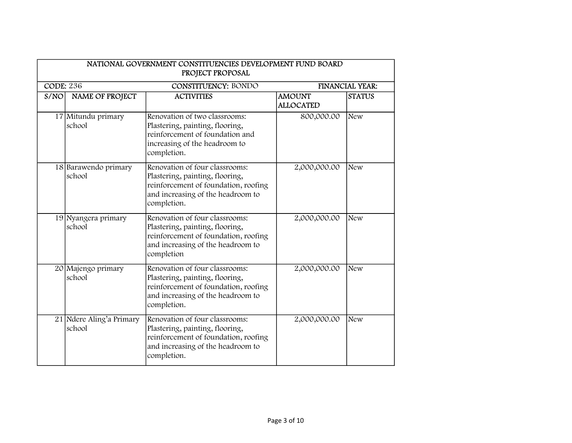|                  | NATIONAL GOVERNMENT CONSTITUENCIES DEVELOPMENT FUND BOARD<br>PROJECT PROPOSAL |                                                                                                                                                               |                                   |                        |  |
|------------------|-------------------------------------------------------------------------------|---------------------------------------------------------------------------------------------------------------------------------------------------------------|-----------------------------------|------------------------|--|
| <b>CODE: 236</b> |                                                                               | <b>CONSTITUENCY: BONDO</b>                                                                                                                                    |                                   | <b>FINANCIAL YEAR:</b> |  |
| S/NO             | <b>NAME OF PROJECT</b>                                                        | <b>ACTIVITIES</b>                                                                                                                                             | <b>AMOUNT</b><br><b>ALLOCATED</b> | <b>STATUS</b>          |  |
|                  | 17 Mitundu primary<br>school                                                  | Renovation of two classrooms:<br>Plastering, painting, flooring,<br>reinforcement of foundation and<br>increasing of the headroom to<br>completion.           | 800,000.00                        | <b>New</b>             |  |
|                  | 18 Barawendo primary<br>school                                                | Renovation of four classrooms:<br>Plastering, painting, flooring,<br>reinforcement of foundation, roofing<br>and increasing of the headroom to<br>completion. | 2,000,000.00                      | <b>New</b>             |  |
|                  | 19 Nyangera primary<br>school                                                 | Renovation of four classrooms:<br>Plastering, painting, flooring,<br>reinforcement of foundation, roofing<br>and increasing of the headroom to<br>completion  | 2,000,000.00                      | <b>New</b>             |  |
|                  | 20 Majengo primary<br>school                                                  | Renovation of four classrooms:<br>Plastering, painting, flooring,<br>reinforcement of foundation, roofing<br>and increasing of the headroom to<br>completion. | 2,000,000.00                      | <b>New</b>             |  |
|                  | 21 Ndere Aling'a Primary<br>school                                            | Renovation of four classrooms:<br>Plastering, painting, flooring,<br>reinforcement of foundation, roofing<br>and increasing of the headroom to<br>completion. | 2,000,000.00                      | <b>New</b>             |  |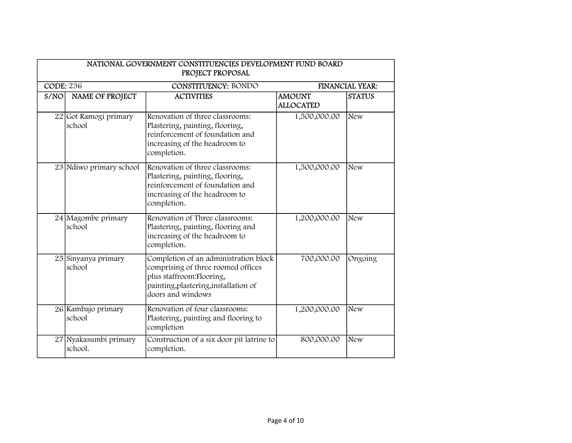|                  | NATIONAL GOVERNMENT CONSTITUENCIES DEVELOPMENT FUND BOARD<br>PROJECT PROPOSAL |                                                                                                                                                                        |                                   |                        |  |  |
|------------------|-------------------------------------------------------------------------------|------------------------------------------------------------------------------------------------------------------------------------------------------------------------|-----------------------------------|------------------------|--|--|
| <b>CODE: 236</b> |                                                                               | <b>CONSTITUENCY: BONDO</b>                                                                                                                                             |                                   | <b>FINANCIAL YEAR:</b> |  |  |
| S/NO             | <b>NAME OF PROJECT</b>                                                        | <b>ACTIVITIES</b>                                                                                                                                                      | <b>AMOUNT</b><br><b>ALLOCATED</b> | <b>STATUS</b>          |  |  |
|                  | 22 Got Ramogi primary<br>school                                               | Renovation of three classrooms:<br>Plastering, painting, flooring,<br>reinforcement of foundation and<br>increasing of the headroom to<br>completion.                  | 1,500,000.00                      | New                    |  |  |
|                  | 23 Ndiwo primary school                                                       | Renovation of three classrooms:<br>Plastering, painting, flooring,<br>reinforcement of foundation and<br>increasing of the headroom to<br>completion.                  | 1,500,000.00                      | <b>New</b>             |  |  |
|                  | 24 Magombe primary<br>school                                                  | Renovation of Three classrooms:<br>Plastering, painting, flooring and<br>increasing of the headroom to<br>completion.                                                  | 1,200,000.00                      | <b>New</b>             |  |  |
|                  | 25 Sinyanya primary<br>school                                                 | Completion of an administration block<br>comprising of three roomed offices<br>plus staffroom: Flooring,<br>painting, plastering, installation of<br>doors and windows | 700,000.00                        | Ongoing                |  |  |
|                  | 26 Kambajo primary<br>school                                                  | Renovation of four classrooms:<br>Plastering, painting and flooring to<br>completion                                                                                   | 1,200,000.00                      | <b>New</b>             |  |  |
|                  | 27 Nyakasumbi primary<br>school.                                              | Construction of a six door pit latrine to<br>completion.                                                                                                               | 800,000.00                        | <b>New</b>             |  |  |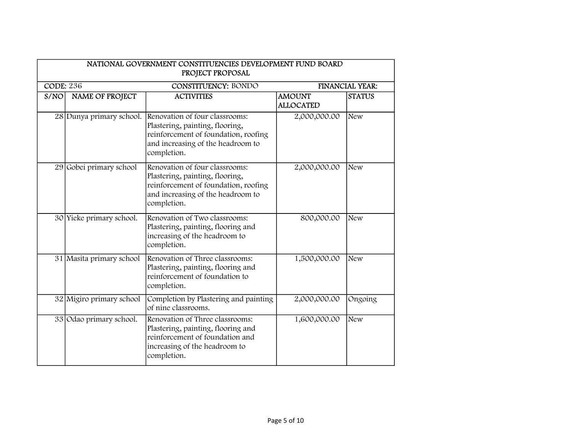|                  | NATIONAL GOVERNMENT CONSTITUENCIES DEVELOPMENT FUND BOARD<br>PROJECT PROPOSAL |                                                                                                                                                               |                                   |                        |  |  |
|------------------|-------------------------------------------------------------------------------|---------------------------------------------------------------------------------------------------------------------------------------------------------------|-----------------------------------|------------------------|--|--|
| <b>CODE: 236</b> |                                                                               | <b>CONSTITUENCY: BONDO</b>                                                                                                                                    |                                   | <b>FINANCIAL YEAR:</b> |  |  |
| S/NO             | <b>NAME OF PROJECT</b>                                                        | <b>ACTIVITIES</b>                                                                                                                                             | <b>AMOUNT</b><br><b>ALLOCATED</b> | <b>STATUS</b>          |  |  |
|                  | 28 Dunya primary school.                                                      | Renovation of four classrooms:<br>Plastering, painting, flooring,<br>reinforcement of foundation, roofing<br>and increasing of the headroom to<br>completion. | 2,000,000.00                      | New                    |  |  |
|                  | 29 Gobei primary school                                                       | Renovation of four classrooms:<br>Plastering, painting, flooring,<br>reinforcement of foundation, roofing<br>and increasing of the headroom to<br>completion. | 2,000,000.00                      | New                    |  |  |
|                  | 30 Yieke primary school.                                                      | Renovation of Two classrooms:<br>Plastering, painting, flooring and<br>increasing of the headroom to<br>completion.                                           | 800,000.00                        | <b>New</b>             |  |  |
|                  | 31 Masita primary school                                                      | Renovation of Three classrooms:<br>Plastering, painting, flooring and<br>reinforcement of foundation to<br>completion.                                        | 1,500,000.00                      | New                    |  |  |
|                  | 32 Migiro primary school                                                      | Completion by Plastering and painting<br>of nine classrooms.                                                                                                  | 2,000,000.00                      | Ongoing                |  |  |
|                  | 33 Odao primary school.                                                       | Renovation of Three classrooms:<br>Plastering, painting, flooring and<br>reinforcement of foundation and<br>increasing of the headroom to<br>completion.      | 1,600,000.00                      | New                    |  |  |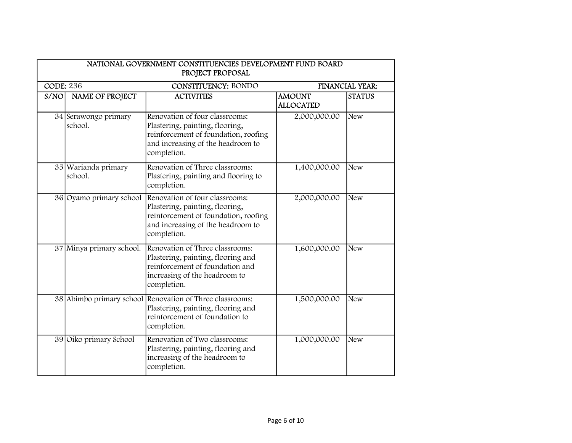|                  | NATIONAL GOVERNMENT CONSTITUENCIES DEVELOPMENT FUND BOARD<br>PROJECT PROPOSAL |                                                                                                                                                               |                                   |                        |  |  |
|------------------|-------------------------------------------------------------------------------|---------------------------------------------------------------------------------------------------------------------------------------------------------------|-----------------------------------|------------------------|--|--|
| <b>CODE: 236</b> |                                                                               | <b>CONSTITUENCY: BONDO</b>                                                                                                                                    |                                   | <b>FINANCIAL YEAR:</b> |  |  |
| S/NO             | <b>NAME OF PROJECT</b>                                                        | <b>ACTIVITIES</b>                                                                                                                                             | <b>AMOUNT</b><br><b>ALLOCATED</b> | <b>STATUS</b>          |  |  |
|                  | 34 Serawongo primary<br>school.                                               | Renovation of four classrooms:<br>Plastering, painting, flooring,<br>reinforcement of foundation, roofing<br>and increasing of the headroom to<br>completion. | 2,000,000.00                      | New                    |  |  |
|                  | 35 Warianda primary<br>school.                                                | Renovation of Three classrooms:<br>Plastering, painting and flooring to<br>completion.                                                                        | 1,400,000.00                      | <b>New</b>             |  |  |
|                  | 36 Oyamo primary school                                                       | Renovation of four classrooms:<br>Plastering, painting, flooring,<br>reinforcement of foundation, roofing<br>and increasing of the headroom to<br>completion. | 2,000,000.00                      | New                    |  |  |
|                  | 37 Minya primary school.                                                      | Renovation of Three classrooms:<br>Plastering, painting, flooring and<br>reinforcement of foundation and<br>increasing of the headroom to<br>completion.      | 1,600,000.00                      | <b>New</b>             |  |  |
|                  |                                                                               | 38 Abimbo primary school Renovation of Three classrooms:<br>Plastering, painting, flooring and<br>reinforcement of foundation to<br>completion.               | 1,500,000.00                      | <b>New</b>             |  |  |
|                  | 39 Oiko primary School                                                        | Renovation of Two classrooms:<br>Plastering, painting, flooring and<br>increasing of the headroom to<br>completion.                                           | 1,000,000.00                      | <b>New</b>             |  |  |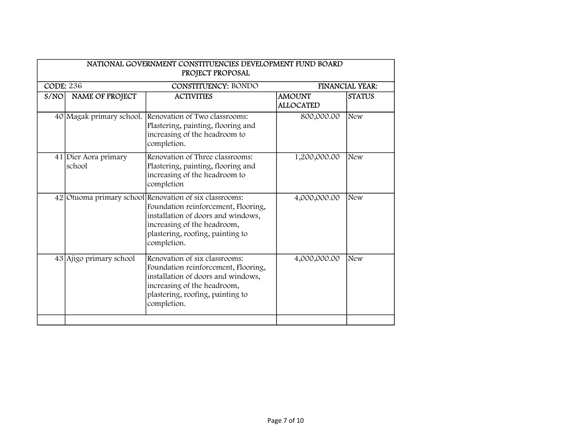|                  | NATIONAL GOVERNMENT CONSTITUENCIES DEVELOPMENT FUND BOARD<br>PROJECT PROPOSAL |                                                                                                                                                                                                                       |                                   |                        |  |
|------------------|-------------------------------------------------------------------------------|-----------------------------------------------------------------------------------------------------------------------------------------------------------------------------------------------------------------------|-----------------------------------|------------------------|--|
| <b>CODE: 236</b> |                                                                               | <b>CONSTITUENCY: BONDO</b>                                                                                                                                                                                            |                                   | <b>FINANCIAL YEAR:</b> |  |
| S/NO             | <b>NAME OF PROJECT</b>                                                        | <b>ACTIVITIES</b>                                                                                                                                                                                                     | <b>AMOUNT</b><br><b>ALLOCATED</b> | <b>STATUS</b>          |  |
|                  |                                                                               | 40 Magak primary school. Renovation of Two classrooms:<br>Plastering, painting, flooring and<br>increasing of the headroom to<br>completion.                                                                          | 800,000.00                        | <b>New</b>             |  |
|                  | 41 Dier Aora primary<br>school                                                | Renovation of Three classrooms:<br>Plastering, painting, flooring and<br>increasing of the headroom to<br>completion                                                                                                  | 1,200,000.00                      | <b>New</b>             |  |
|                  |                                                                               | 42 Otuoma primary school Renovation of six classrooms:<br>Foundation reinforcement, Flooring,<br>installation of doors and windows,<br>increasing of the headroom,<br>plastering, roofing, painting to<br>completion. | 4,000,000.00                      | <b>New</b>             |  |
|                  | 43 Ajigo primary school                                                       | Renovation of six classrooms:<br>Foundation reinforcement, Flooring,<br>installation of doors and windows,<br>increasing of the headroom,<br>plastering, roofing, painting to<br>completion.                          | 4,000,000.00                      | <b>New</b>             |  |
|                  |                                                                               |                                                                                                                                                                                                                       |                                   |                        |  |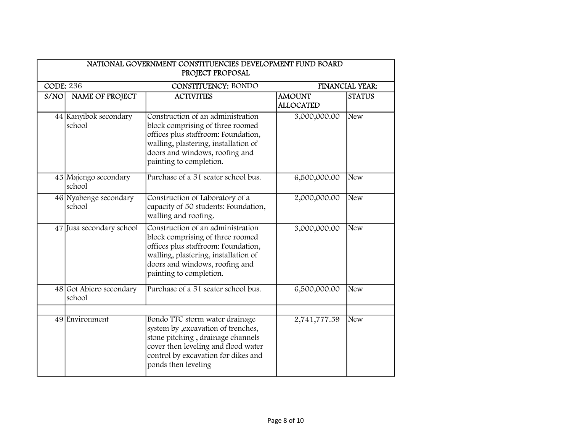| <b>CODE: 236</b> |                                   | <b>CONSTITUENCY: BONDO</b>                                                                                                                                                                                        | <b>FINANCIAL YEAR:</b>            |               |
|------------------|-----------------------------------|-------------------------------------------------------------------------------------------------------------------------------------------------------------------------------------------------------------------|-----------------------------------|---------------|
| S/NO             | <b>NAME OF PROJECT</b>            | <b>ACTIVITIES</b>                                                                                                                                                                                                 | <b>AMOUNT</b><br><b>ALLOCATED</b> | <b>STATUS</b> |
|                  | 44 Kanyibok secondary<br>school   | Construction of an administration<br>block comprising of three roomed<br>offices plus staffroom: Foundation,<br>walling, plastering, installation of<br>doors and windows, roofing and<br>painting to completion. | 3,000,000.00                      | <b>New</b>    |
|                  | 45 Majengo secondary<br>school    | Purchase of a 51 seater school bus.                                                                                                                                                                               | 6,500,000.00                      | <b>New</b>    |
|                  | 46 Nyabenge secondary<br>school   | Construction of Laboratory of a<br>capacity of 50 students: Foundation,<br>walling and roofing.                                                                                                                   | 2,000,000.00                      | <b>New</b>    |
|                  | 47 Jusa secondary school          | Construction of an administration<br>block comprising of three roomed<br>offices plus staffroom: Foundation,<br>walling, plastering, installation of<br>doors and windows, roofing and<br>painting to completion. | 3,000,000.00                      | <b>New</b>    |
|                  | 48 Got Abiero secondary<br>school | Purchase of a 51 seater school bus.                                                                                                                                                                               | 6,500,000.00                      | <b>New</b>    |
|                  | 49 Environment                    | Bondo TTC storm water drainage<br>system by , excavation of trenches,<br>stone pitching, drainage channels<br>cover then leveling and flood water<br>control by excavation for dikes and<br>ponds then leveling   | 2,741,777.59                      | <b>New</b>    |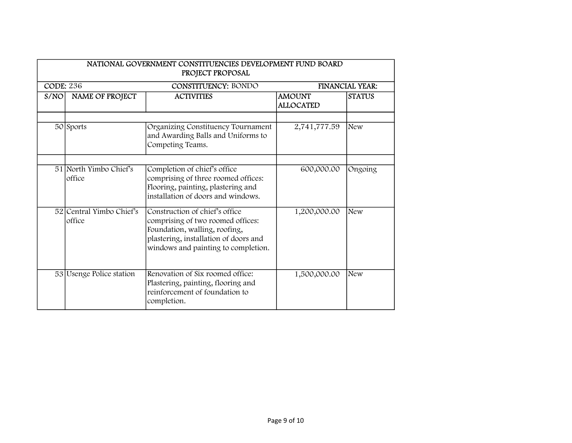|      | NATIONAL GOVERNMENT CONSTITUENCIES DEVELOPMENT FUND BOARD<br>PROJECT PROPOSAL |                                                                                                                                                                                      |                                   |               |  |  |
|------|-------------------------------------------------------------------------------|--------------------------------------------------------------------------------------------------------------------------------------------------------------------------------------|-----------------------------------|---------------|--|--|
|      | <b>CONSTITUENCY: BONDO</b><br><b>CODE: 236</b><br><b>FINANCIAL YEAR:</b>      |                                                                                                                                                                                      |                                   |               |  |  |
| S/NO | NAME OF PROJECT                                                               | <b>ACTIVITIES</b>                                                                                                                                                                    | <b>AMOUNT</b><br><b>ALLOCATED</b> | <b>STATUS</b> |  |  |
|      | 50 Sports                                                                     | Organizing Constituency Tournament<br>and Awarding Balls and Uniforms to<br>Competing Teams.                                                                                         | 2,741,777.59                      | <b>New</b>    |  |  |
|      | 51 North Yimbo Chief's<br>office                                              | Completion of chief's office<br>comprising of three roomed offices:<br>Flooring, painting, plastering and<br>installation of doors and windows.                                      | 600,000.00                        | Ongoing       |  |  |
|      | 52 Central Yimbo Chief's<br>office                                            | Construction of chief's office<br>comprising of two roomed offices:<br>Foundation, walling, roofing,<br>plastering, installation of doors and<br>windows and painting to completion. | 1,200,000.00                      | <b>New</b>    |  |  |
|      | 53 Usenge Police station                                                      | Renovation of Six roomed office:<br>Plastering, painting, flooring and<br>reinforcement of foundation to<br>completion.                                                              | 1,500,000.00                      | <b>New</b>    |  |  |